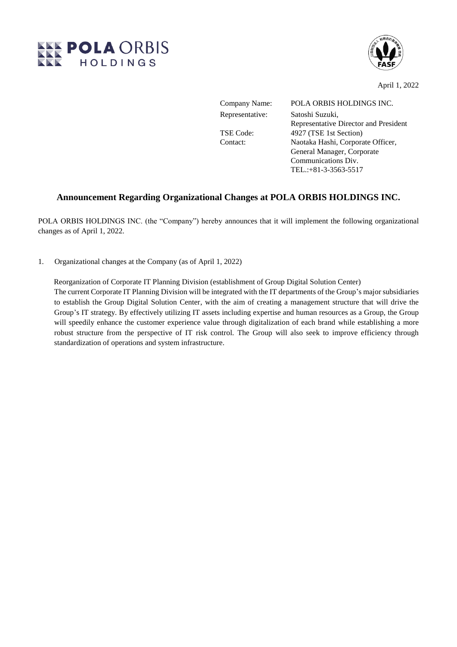



April 1, 2022

Company Name: POLA ORBIS HOLDINGS INC. Representative: Satoshi Suzuki, Representative Director and President TSE Code: 4927 (TSE 1st Section) Contact: Naotaka Hashi, Corporate Officer, General Manager, Corporate

> Communications Div. TEL.:+81-3-3563-5517

## **Announcement Regarding Organizational Changes at POLA ORBIS HOLDINGS INC.**

POLA ORBIS HOLDINGS INC. (the "Company") hereby announces that it will implement the following organizational changes as of April 1, 2022.

1. Organizational changes at the Company (as of April 1, 2022)

Reorganization of Corporate IT Planning Division (establishment of Group Digital Solution Center) The current Corporate IT Planning Division will be integrated with the IT departments of the Group's major subsidiaries to establish the Group Digital Solution Center, with the aim of creating a management structure that will drive the Group's IT strategy. By effectively utilizing IT assets including expertise and human resources as a Group, the Group will speedily enhance the customer experience value through digitalization of each brand while establishing a more robust structure from the perspective of IT risk control. The Group will also seek to improve efficiency through standardization of operations and system infrastructure.